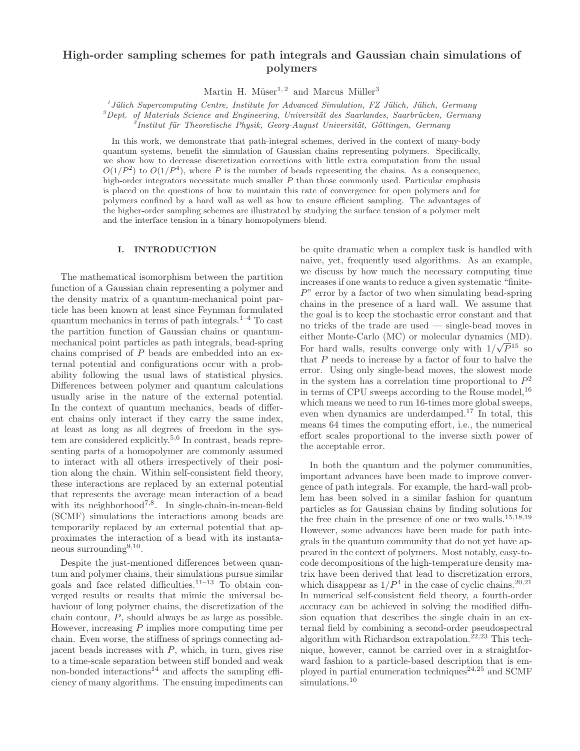# High-order sampling schemes for path integrals and Gaussian chain simulations of polymers

Martin H. Müser<sup>1, 2</sup> and Marcus Müller<sup>3</sup>

 $1$  Jülich Supercomputing Centre, Institute for Advanced Simulation, FZ Jülich, Jülich, Germany

 $^{2}$ Dept. of Materials Science and Engineering, Universität des Saarlandes, Saarbrücken, Germany

 $\tilde{I}$ Institut für Theoretische Physik, Georg-August Universität, Göttingen, Germany

In this work, we demonstrate that path-integral schemes, derived in the context of many-body quantum systems, benefit the simulation of Gaussian chains representing polymers. Specifically, we show how to decrease discretization corrections with little extra computation from the usual  $O(1/P^2)$  to  $O(1/P^4)$ , where P is the number of beads representing the chains. As a consequence, high-order integrators necessitate much smaller P than those commonly used. Particular emphasis is placed on the questions of how to maintain this rate of convergence for open polymers and for polymers confined by a hard wall as well as how to ensure efficient sampling. The advantages of the higher-order sampling schemes are illustrated by studying the surface tension of a polymer melt and the interface tension in a binary homopolymers blend.

# I. INTRODUCTION

The mathematical isomorphism between the partition function of a Gaussian chain representing a polymer and the density matrix of a quantum-mechanical point particle has been known at least since Feynman formulated quantum mechanics in terms of path integrals.<sup>1–4</sup> To cast the partition function of Gaussian chains or quantummechanical point particles as path integrals, bead-spring chains comprised of P beads are embedded into an external potential and configurations occur with a probability following the usual laws of statistical physics. Differences between polymer and quantum calculations usually arise in the nature of the external potential. In the context of quantum mechanics, beads of different chains only interact if they carry the same index, at least as long as all degrees of freedom in the system are considered explicitly.5,6 In contrast, beads representing parts of a homopolymer are commonly assumed to interact with all others irrespectively of their position along the chain. Within self-consistent field theory, these interactions are replaced by an external potential that represents the average mean interaction of a bead with its neighborhood<sup>7,8</sup>. In single-chain-in-mean-field (SCMF) simulations the interactions among beads are temporarily replaced by an external potential that approximates the interaction of a bead with its instantaneous surrounding<sup>9,10</sup>.

Despite the just-mentioned differences between quantum and polymer chains, their simulations pursue similar goals and face related difficulties.11–13 To obtain converged results or results that mimic the universal behaviour of long polymer chains, the discretization of the chain contour, P, should always be as large as possible. However, increasing P implies more computing time per chain. Even worse, the stiffness of springs connecting adjacent beads increases with  $P$ , which, in turn, gives rise to a time-scale separation between stiff bonded and weak non-bonded interactions<sup>14</sup> and affects the sampling efficiency of many algorithms. The ensuing impediments can

be quite dramatic when a complex task is handled with naive, yet, frequently used algorithms. As an example, we discuss by how much the necessary computing time increases if one wants to reduce a given systematic "finite- $P$ " error by a factor of two when simulating bead-spring chains in the presence of a hard wall. We assume that the goal is to keep the stochastic error constant and that no tricks of the trade are used — single-bead moves in either Monte-Carlo (MC) or molecular dynamics (MD). For hard walls, results converge only with  $1/\sqrt{P^{15}}$  so that P needs to increase by a factor of four to halve the error. Using only single-bead moves, the slowest mode in the system has a correlation time proportional to  $P^2$ in terms of CPU sweeps according to the Rouse model,  $^{16}$ which means we need to run 16-times more global sweeps. even when dynamics are underdamped.<sup>17</sup> In total, this means 64 times the computing effort, i.e., the numerical effort scales proportional to the inverse sixth power of the acceptable error.

In both the quantum and the polymer communities, important advances have been made to improve convergence of path integrals. For example, the hard-wall problem has been solved in a similar fashion for quantum particles as for Gaussian chains by finding solutions for the free chain in the presence of one or two walls.15,18,19 However, some advances have been made for path integrals in the quantum community that do not yet have appeared in the context of polymers. Most notably, easy-tocode decompositions of the high-temperature density matrix have been derived that lead to discretization errors, which disappear as  $1/P<sup>4</sup>$  in the case of cyclic chains.<sup>20,21</sup> In numerical self-consistent field theory, a fourth-order accuracy can be achieved in solving the modified diffusion equation that describes the single chain in an external field by combining a second-order pseudospectral algorithm with Richardson extrapolation.<sup>22,23</sup> This technique, however, cannot be carried over in a straightforward fashion to a particle-based description that is employed in partial enumeration techniques<sup>24,25</sup> and SCMF simulations.<sup>10</sup>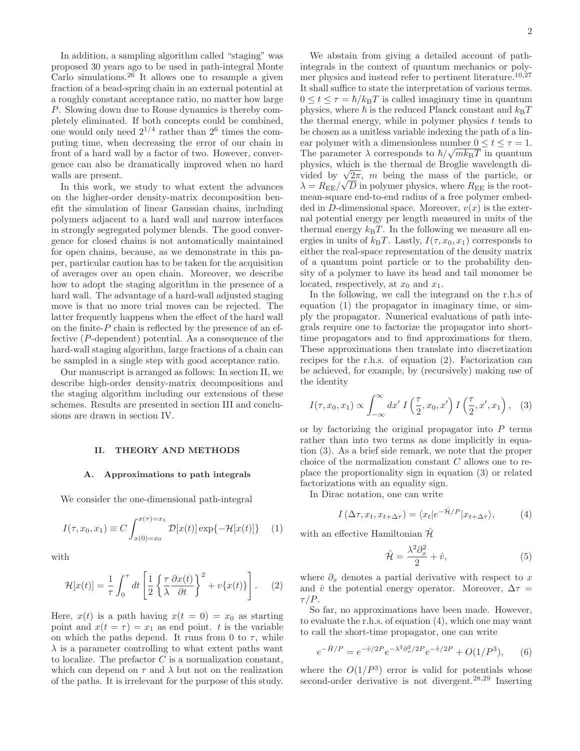In addition, a sampling algorithm called "staging" was proposed 30 years ago to be used in path-integral Monte Carlo simulations.<sup>26</sup> It allows one to resample a given fraction of a bead-spring chain in an external potential at a roughly constant acceptance ratio, no matter how large P. Slowing down due to Rouse dynamics is thereby completely eliminated. If both concepts could be combined, one would only need  $2^{1/4}$  rather than  $2^6$  times the computing time, when decreasing the error of our chain in front of a hard wall by a factor of two. However, convergence can also be dramatically improved when no hard walls are present.

In this work, we study to what extent the advances on the higher-order density-matrix decomposition benefit the simulation of linear Gaussian chains, including polymers adjacent to a hard wall and narrow interfaces in strongly segregated polymer blends. The good convergence for closed chains is not automatically maintained for open chains, because, as we demonstrate in this paper, particular caution has to be taken for the acquisition of averages over an open chain. Moreover, we describe how to adopt the staging algorithm in the presence of a hard wall. The advantage of a hard-wall adjusted staging move is that no more trial moves can be rejected. The latter frequently happens when the effect of the hard wall on the finite- $P$  chain is reflected by the presence of an effective (P-dependent) potential. As a consequence of the hard-wall staging algorithm, large fractions of a chain can be sampled in a single step with good acceptance ratio.

Our manuscript is arranged as follows: In section II, we describe high-order density-matrix decompositions and the staging algorithm including our extensions of these schemes. Results are presented in section III and conclusions are drawn in section IV.

## II. THEORY AND METHODS

### A. Approximations to path integrals

We consider the one-dimensional path-integral

$$
I(\tau, x_0, x_1) \equiv C \int_{x(0) = x_0}^{x(\tau) = x_1} \mathcal{D}[x(t)] \exp\{-\mathcal{H}[x(t)]\} \tag{1}
$$

with

$$
\mathcal{H}[x(t)] = \frac{1}{\tau} \int_0^{\tau} dt \left[ \frac{1}{2} \left\{ \frac{\tau}{\lambda} \frac{\partial x(t)}{\partial t} \right\}^2 + v\{x(t)\} \right]. \tag{2}
$$

Here,  $x(t)$  is a path having  $x(t = 0) = x_0$  as starting point and  $x(t = \tau) = x_1$  as end point. t is the variable on which the paths depend. It runs from 0 to  $\tau$ , while  $\lambda$  is a parameter controlling to what extent paths want to localize. The prefactor  $C$  is a normalization constant, which can depend on  $\tau$  and  $\lambda$  but not on the realization of the paths. It is irrelevant for the purpose of this study.

We abstain from giving a detailed account of pathintegrals in the context of quantum mechanics or polymer physics and instead refer to pertinent literature.<sup>10,27</sup> It shall suffice to state the interpretation of various terms.  $0 \le t \le \tau = \hbar / k_{\text{B}}T$  is called imaginary time in quantum physics, where  $\hbar$  is the reduced Planck constant and  $k_BT$ the thermal energy, while in polymer physics  $t$  tends to be chosen as a unitless variable indexing the path of a linear polymer with a dimensionless number  $0 \le t \le \tau = 1$ . The parameter  $\lambda$  corresponds to  $\hbar/\sqrt{mk_BT}$  in quantum physics, which is the thermal de Broglie wavelength divided by  $\sqrt{2\pi}$ , *m* being the mass of the particle, or  $\lambda = R_{\text{EE}} / \sqrt{D}$  in polymer physics, where  $R_{\text{EE}}$  is the rootmean-square end-to-end radius of a free polymer embedded in D-dimensional space. Moreover,  $v(x)$  is the external potential energy per length measured in units of the thermal energy  $k_BT$ . In the following we measure all energies in units of  $k_BT$ . Lastly,  $I(\tau, x_0, x_1)$  corresponds to either the real-space representation of the density matrix of a quantum point particle or to the probability density of a polymer to have its head and tail monomer be located, respectively, at  $x_0$  and  $x_1$ .

In the following, we call the integrand on the r.h.s of equation (1) the propagator in imaginary time, or simply the propagator. Numerical evaluations of path integrals require one to factorize the propagator into shorttime propagators and to find approximations for them. These approximations then translate into discretization recipes for the r.h.s. of equation (2). Factorization can be achieved, for example, by (recursively) making use of the identity

$$
I(\tau, x_0, x_1) \propto \int_{-\infty}^{\infty} dx' I\left(\frac{\tau}{2}, x_0, x'\right) I\left(\frac{\tau}{2}, x', x_1\right), \quad (3)
$$

or by factorizing the original propagator into  $P$  terms rather than into two terms as done implicitly in equation (3). As a brief side remark, we note that the proper choice of the normalization constant C allows one to replace the proportionality sign in equation (3) or related factorizations with an equality sign.

In Dirac notation, one can write

$$
I\left(\Delta \tau, x_t, x_{t+\Delta \tau}\right) = \langle x_t | e^{-\hat{\mathcal{H}}/P} | x_{t+\Delta \tau} \rangle, \tag{4}
$$

with an effective Hamiltonian  $\hat{\mathcal{H}}$ 

$$
\hat{\mathcal{H}} = \frac{\lambda^2 \partial_x^2}{2} + \hat{v},\tag{5}
$$

where  $\partial_x$  denotes a partial derivative with respect to x and  $\hat{v}$  the potential energy operator. Moreover,  $\Delta \tau =$  $\tau/P$ .

So far, no approximations have been made. However, to evaluate the r.h.s. of equation (4), which one may want to call the short-time propagator, one can write

$$
e^{-\hat{H}/P} = e^{-\hat{v}/2P} e^{-\lambda^2 \partial_x^2/2P} e^{-\hat{v}/2P} + O(1/P^3), \qquad (6)
$$

where the  $O(1/P^3)$  error is valid for potentials whose second-order derivative is not divergent.28,29 Inserting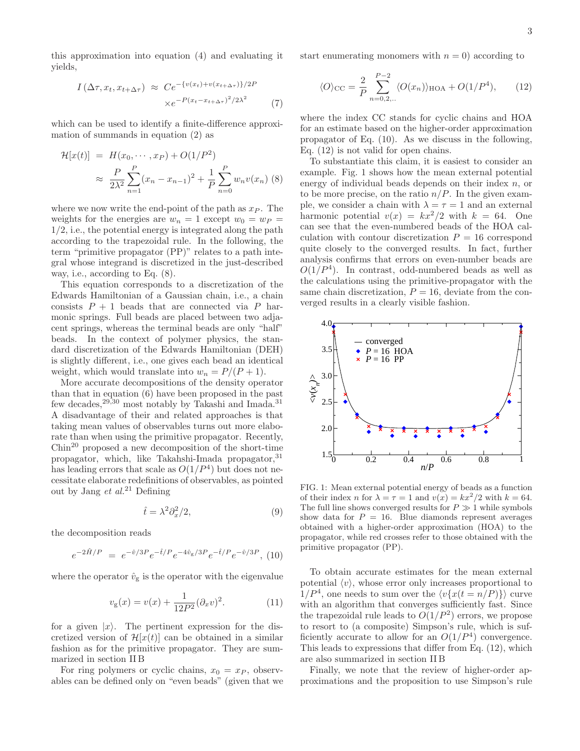this approximation into equation (4) and evaluating it yields,

$$
I\left(\Delta\tau, x_t, x_{t+\Delta\tau}\right) \approx C e^{-\{v(x_t) + v(x_{t+\Delta\tau})\}/2P}
$$

$$
\times e^{-P(x_t - x_{t+\Delta\tau})^2/2\lambda^2} \tag{7}
$$

which can be used to identify a finite-difference approximation of summands in equation (2) as

$$
\mathcal{H}[x(t)] = H(x_0, \cdots, x_P) + O(1/P^2)
$$
  
\n
$$
\approx \frac{P}{2\lambda^2} \sum_{n=1}^P (x_n - x_{n-1})^2 + \frac{1}{P} \sum_{n=0}^P w_n v(x_n) \tag{8}
$$

where we now write the end-point of the path as  $x_P$ . The weights for the energies are  $w_n = 1$  except  $w_0 = w_P =$ 1/2, i.e., the potential energy is integrated along the path according to the trapezoidal rule. In the following, the term "primitive propagator (PP)" relates to a path integral whose integrand is discretized in the just-described way, i.e., according to Eq. (8).

This equation corresponds to a discretization of the Edwards Hamiltonian of a Gaussian chain, i.e., a chain consists  $P + 1$  beads that are connected via P harmonic springs. Full beads are placed between two adjacent springs, whereas the terminal beads are only "half" beads. In the context of polymer physics, the standard discretization of the Edwards Hamiltonian (DEH) is slightly different, i.e., one gives each bead an identical weight, which would translate into  $w_n = P/(P + 1)$ .

More accurate decompositions of the density operator than that in equation (6) have been proposed in the past few decades,29,30 most notably by Takashi and Imada.<sup>31</sup> A disadvantage of their and related approaches is that taking mean values of observables turns out more elaborate than when using the primitive propagator. Recently,  $Chin<sup>20</sup>$  proposed a new decomposition of the short-time propagator, which, like Takahshi-Imada propagator, 31 has leading errors that scale as  $O(1/P^4)$  but does not necessitate elaborate redefinitions of observables, as pointed out by Jang et  $al^{21}$  Defining

$$
\hat{t} = \lambda^2 \partial_x^2 / 2,\tag{9}
$$

the decomposition reads

$$
e^{-2\hat{H}/P} = e^{-\hat{v}/3P}e^{-\hat{t}/P}e^{-4\hat{v}_{\rm g}/3P}e^{-\hat{t}/P}e^{-\hat{v}/3P},
$$
 (10)

where the operator  $\hat{v}_{g}$  is the operator with the eigenvalue

$$
v_{g}(x) = v(x) + \frac{1}{12P^{2}} (\partial_{x}v)^{2}.
$$
 (11)

for a given  $|x\rangle$ . The pertinent expression for the discretized version of  $\mathcal{H}[x(t)]$  can be obtained in a similar fashion as for the primitive propagator. They are summarized in section II B

For ring polymers or cyclic chains,  $x_0 = x_P$ , observables can be defined only on "even beads" (given that we start enumerating monomers with  $n = 0$ ) according to

$$
\langle O \rangle_{\rm CC} = \frac{2}{P} \sum_{n=0,2,...}^{P-2} \langle O(x_n) \rangle_{\rm HOA} + O(1/P^4), \qquad (12)
$$

where the index CC stands for cyclic chains and HOA for an estimate based on the higher-order approximation propagator of Eq. (10). As we discuss in the following, Eq. (12) is not valid for open chains.

To substantiate this claim, it is easiest to consider an example. Fig. 1 shows how the mean external potential energy of individual beads depends on their index  $n$ , or to be more precise, on the ratio  $n/P$ . In the given example, we consider a chain with  $\lambda = \tau = 1$  and an external harmonic potential  $v(x) = kx^2/2$  with  $k = 64$ . One can see that the even-numbered beads of the HOA calculation with contour discretization  $P = 16$  correspond quite closely to the converged results. In fact, further analysis confirms that errors on even-number beads are  $O(1/P<sup>4</sup>)$ . In contrast, odd-numbered beads as well as the calculations using the primitive-propagator with the same chain discretization,  $P = 16$ , deviate from the converged results in a clearly visible fashion.



FIG. 1: Mean external potential energy of beads as a function of their index *n* for  $\lambda = \tau = 1$  and  $v(x) = kx^2/2$  with  $k = 64$ . The full line shows converged results for  $P \gg 1$  while symbols show data for  $P = 16$ . Blue diamonds represent averages obtained with a higher-order approximation (HOA) to the propagator, while red crosses refer to those obtained with the primitive propagator (PP).

To obtain accurate estimates for the mean external potential  $\langle v \rangle$ , whose error only increases proportional to  $1/P<sup>4</sup>$ , one needs to sum over the  $\langle v\{x(t = n/P)\}\rangle$  curve with an algorithm that converges sufficiently fast. Since the trapezoidal rule leads to  $O(1/P^2)$  errors, we propose to resort to (a composite) Simpson's rule, which is sufficiently accurate to allow for an  $O(1/P^4)$  convergence. This leads to expressions that differ from Eq. (12), which are also summarized in section II B

Finally, we note that the review of higher-order approximations and the proposition to use Simpson's rule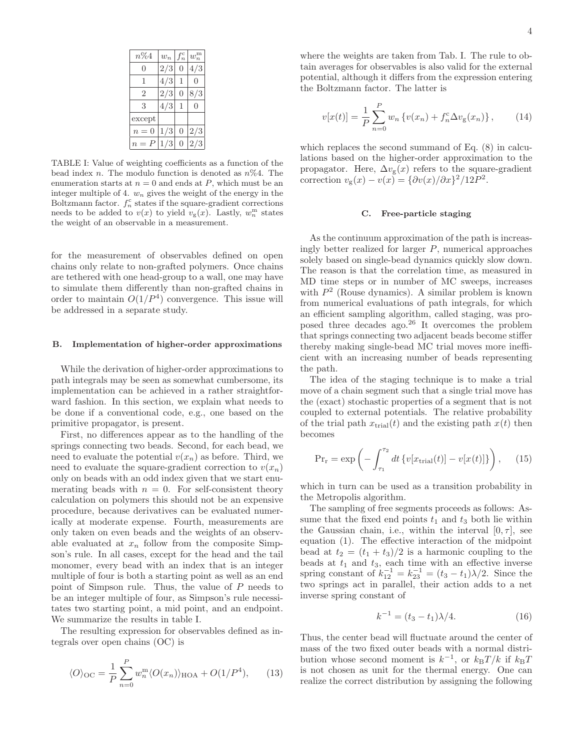| $n\%4$           | $w_n$ | $f_n^{\rm c}$ | $w_n^{\mathrm{m}}$ |
|------------------|-------|---------------|--------------------|
| $\left( \right)$ | 2/3   | 0             | 4/3                |
| 1                | 4/3   | 1             | 0                  |
| 2                | 2/3   | 0             | 8/3                |
| 3                | 4/3   | 1             | 0                  |
| except           |       |               |                    |
| $n=0$            | 1/3   | 0             | 2/3                |
| $n = P$          | 1/3   | 0             | 2/3                |

TABLE I: Value of weighting coefficients as a function of the bead index n. The modulo function is denoted as  $n\%4$ . The enumeration starts at  $n = 0$  and ends at P, which must be an integer multiple of 4.  $w_n$  gives the weight of the energy in the Boltzmann factor.  $f_n^c$  states if the square-gradient corrections needs to be added to  $v(x)$  to yield  $v_g(x)$ . Lastly,  $w_n^{\text{m}}$  states the weight of an observable in a measurement.

for the measurement of observables defined on open chains only relate to non-grafted polymers. Once chains are tethered with one head-group to a wall, one may have to simulate them differently than non-grafted chains in order to maintain  $O(1/P^4)$  convergence. This issue will be addressed in a separate study.

## B. Implementation of higher-order approximations

While the derivation of higher-order approximations to path integrals may be seen as somewhat cumbersome, its implementation can be achieved in a rather straightforward fashion. In this section, we explain what needs to be done if a conventional code, e.g., one based on the primitive propagator, is present.

First, no differences appear as to the handling of the springs connecting two beads. Second, for each bead, we need to evaluate the potential  $v(x_n)$  as before. Third, we need to evaluate the square-gradient correction to  $v(x_n)$ only on beads with an odd index given that we start enumerating beads with  $n = 0$ . For self-consistent theory calculation on polymers this should not be an expensive procedure, because derivatives can be evaluated numerically at moderate expense. Fourth, measurements are only taken on even beads and the weights of an observable evaluated at  $x_n$  follow from the composite Simpson's rule. In all cases, except for the head and the tail monomer, every bead with an index that is an integer multiple of four is both a starting point as well as an end point of Simpson rule. Thus, the value of P needs to be an integer multiple of four, as Simpson's rule necessitates two starting point, a mid point, and an endpoint. We summarize the results in table I.

The resulting expression for observables defined as integrals over open chains (OC) is

$$
\langle O \rangle_{\text{OC}} = \frac{1}{P} \sum_{n=0}^{P} w_n^{\text{m}} \langle O(x_n) \rangle_{\text{HOA}} + O(1/P^4), \qquad (13)
$$

where the weights are taken from Tab. I. The rule to obtain averages for observables is also valid for the external potential, although it differs from the expression entering the Boltzmann factor. The latter is

$$
v[x(t)] = \frac{1}{P} \sum_{n=0}^{P} w_n \left\{ v(x_n) + f_n^c \Delta v_g(x_n) \right\},\qquad(14)
$$

which replaces the second summand of Eq. (8) in calculations based on the higher-order approximation to the propagator. Here,  $\Delta v_{\rm g}(x)$  refers to the square-gradient correction  $v_{\rm g}(x) - v(x) = {\partial v(x) / \partial x}^2 / 12P^2$ .

#### C. Free-particle staging

As the continuum approximation of the path is increasingly better realized for larger  $P$ , numerical approaches solely based on single-bead dynamics quickly slow down. The reason is that the correlation time, as measured in MD time steps or in number of MC sweeps, increases with  $P<sup>2</sup>$  (Rouse dynamics). A similar problem is known from numerical evaluations of path integrals, for which an efficient sampling algorithm, called staging, was proposed three decades ago.<sup>26</sup> It overcomes the problem that springs connecting two adjacent beads become stiffer thereby making single-bead MC trial moves more inefficient with an increasing number of beads representing the path.

The idea of the staging technique is to make a trial move of a chain segment such that a single trial move has the (exact) stochastic properties of a segment that is not coupled to external potentials. The relative probability of the trial path  $x_{\text{trial}}(t)$  and the existing path  $x(t)$  then becomes

$$
Pr_r = \exp\left(-\int_{\tau_1}^{\tau_2} dt \{v[x_{\text{trial}}(t)] - v[x(t)]\}\right), \quad (15)
$$

which in turn can be used as a transition probability in the Metropolis algorithm.

The sampling of free segments proceeds as follows: Assume that the fixed end points  $t_1$  and  $t_3$  both lie within the Gaussian chain, i.e., within the interval  $[0, \tau]$ , see equation (1). The effective interaction of the midpoint bead at  $t_2 = (t_1 + t_3)/2$  is a harmonic coupling to the beads at  $t_1$  and  $t_3$ , each time with an effective inverse spring constant of  $k_{12}^{-1} = k_{23}^{-1} = (t_3 - t_1)\lambda/2$ . Since the two springs act in parallel, their action adds to a net inverse spring constant of

$$
k^{-1} = (t_3 - t_1)\lambda/4.
$$
 (16)

Thus, the center bead will fluctuate around the center of mass of the two fixed outer beads with a normal distribution whose second moment is  $k^{-1}$ , or  $k_BT/k$  if  $k_BT$ is not chosen as unit for the thermal energy. One can realize the correct distribution by assigning the following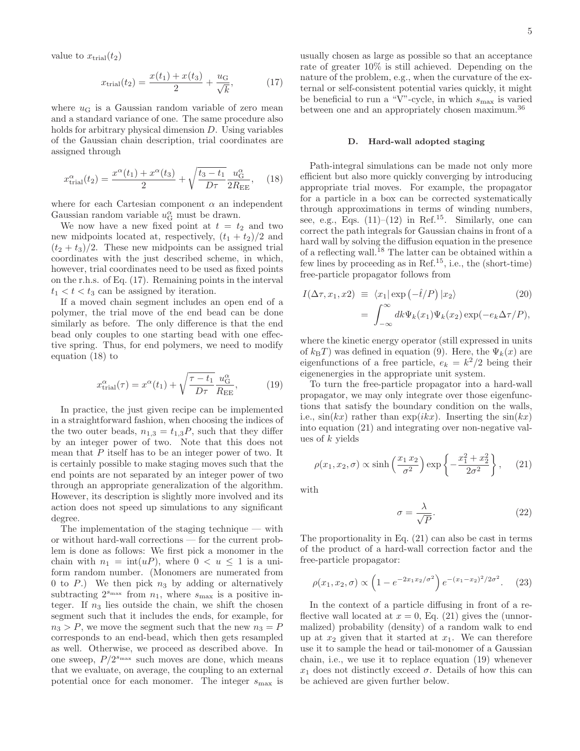value to  $x_{\text{trial}}(t_2)$ 

$$
x_{\text{trial}}(t_2) = \frac{x(t_1) + x(t_3)}{2} + \frac{u_{\text{G}}}{\sqrt{k}},\tag{17}
$$

where  $u_G$  is a Gaussian random variable of zero mean and a standard variance of one. The same procedure also holds for arbitrary physical dimension D. Using variables of the Gaussian chain description, trial coordinates are assigned through

$$
x_{\text{trial}}^{\alpha}(t_2) = \frac{x^{\alpha}(t_1) + x^{\alpha}(t_3)}{2} + \sqrt{\frac{t_3 - t_1}{D\tau}} \frac{u_{\text{G}}^{\alpha}}{2R_{\text{EE}}}, \quad (18)
$$

where for each Cartesian component  $\alpha$  an independent Gaussian random variable  $u_{\rm G}^{\alpha}$  must be drawn.

We now have a new fixed point at  $t = t_2$  and two new midpoints located at, respectively,  $(t_1 + t_2)/2$  and  $(t_2 + t_3)/2$ . These new midpoints can be assigned trial coordinates with the just described scheme, in which, however, trial coordinates need to be used as fixed points on the r.h.s. of Eq. (17). Remaining points in the interval  $t_1 < t < t_3$  can be assigned by iteration.

If a moved chain segment includes an open end of a polymer, the trial move of the end bead can be done similarly as before. The only difference is that the end bead only couples to one starting bead with one effective spring. Thus, for end polymers, we need to modify equation (18) to

$$
x_{\text{trial}}^{\alpha}(\tau) = x^{\alpha}(t_1) + \sqrt{\frac{\tau - t_1}{D\tau}} \frac{u_{\text{G}}^{\alpha}}{R_{\text{EE}}},\tag{19}
$$

In practice, the just given recipe can be implemented in a straightforward fashion, when choosing the indices of the two outer beads,  $n_{1,3} = t_{1,3}P$ , such that they differ by an integer power of two. Note that this does not mean that P itself has to be an integer power of two. It is certainly possible to make staging moves such that the end points are not separated by an integer power of two through an appropriate generalization of the algorithm. However, its description is slightly more involved and its action does not speed up simulations to any significant degree.

The implementation of the staging technique — with or without hard-wall corrections — for the current problem is done as follows: We first pick a monomer in the chain with  $n_1 = \text{int}(uP)$ , where  $0 < u \le 1$  is a uniform random number. (Monomers are numerated from 0 to  $P$ .) We then pick  $n_3$  by adding or alternatively subtracting  $2^{s_{\text{max}}}$  from  $n_1$ , where  $s_{\text{max}}$  is a positive integer. If  $n_3$  lies outside the chain, we shift the chosen segment such that it includes the ends, for example, for  $n_3 > P$ , we move the segment such that the new  $n_3 = P$ corresponds to an end-bead, which then gets resampled as well. Otherwise, we proceed as described above. In one sweep,  $P/2^{s_{\text{max}}}$  such moves are done, which means that we evaluate, on average, the coupling to an external potential once for each monomer. The integer  $s_{\text{max}}$  is usually chosen as large as possible so that an acceptance rate of greater 10% is still achieved. Depending on the nature of the problem, e.g., when the curvature of the external or self-consistent potential varies quickly, it might be beneficial to run a "V"-cycle, in which  $s_{\text{max}}$  is varied between one and an appropriately chosen maximum.<sup>36</sup>

## D. Hard-wall adopted staging

Path-integral simulations can be made not only more efficient but also more quickly converging by introducing appropriate trial moves. For example, the propagator for a particle in a box can be corrected systematically through approximations in terms of winding numbers, see, e.g., Eqs.  $(11)$ – $(12)$  in Ref.<sup>15</sup>. Similarly, one can correct the path integrals for Gaussian chains in front of a hard wall by solving the diffusion equation in the presence of a reflecting wall.<sup>18</sup> The latter can be obtained within a few lines by proceeding as in Ref.<sup>15</sup>, i.e., the (short-time) free-particle propagator follows from

$$
I(\Delta \tau, x_1, x_2) \equiv \langle x_1 | \exp(-\hat{t}/P) | x_2 \rangle \qquad (20)
$$

$$
= \int_{-\infty}^{\infty} dk \Psi_k(x_1) \Psi_k(x_2) \exp(-e_k \Delta \tau/P),
$$

where the kinetic energy operator (still expressed in units of  $k_BT$ ) was defined in equation (9). Here, the  $\Psi_k(x)$  are eigenfunctions of a free particle,  $e_k = k^2/2$  being their eigenenergies in the appropriate unit system.

To turn the free-particle propagator into a hard-wall propagator, we may only integrate over those eigenfunctions that satisfy the boundary condition on the walls, i.e.,  $sin(kx)$  rather than  $exp(ikx)$ . Inserting the  $sin(kx)$ into equation (21) and integrating over non-negative values of  $k$  yields

$$
\rho(x_1, x_2, \sigma) \propto \sinh\left(\frac{x_1 x_2}{\sigma^2}\right) \exp\left\{-\frac{x_1^2 + x_2^2}{2\sigma^2}\right\},\qquad(21)
$$

with

$$
\sigma = \frac{\lambda}{\sqrt{P}}.\tag{22}
$$

The proportionality in Eq. (21) can also be cast in terms of the product of a hard-wall correction factor and the free-particle propagator:

$$
\rho(x_1, x_2, \sigma) \propto \left(1 - e^{-2x_1 x_2/\sigma^2}\right) e^{-(x_1 - x_2)^2/2\sigma^2}.
$$
 (23)

In the context of a particle diffusing in front of a reflective wall located at  $x = 0$ , Eq. (21) gives the (unnormalized) probability (density) of a random walk to end up at  $x_2$  given that it started at  $x_1$ . We can therefore use it to sample the head or tail-monomer of a Gaussian chain, i.e., we use it to replace equation (19) whenever  $x_1$  does not distinctly exceed  $\sigma$ . Details of how this can be achieved are given further below.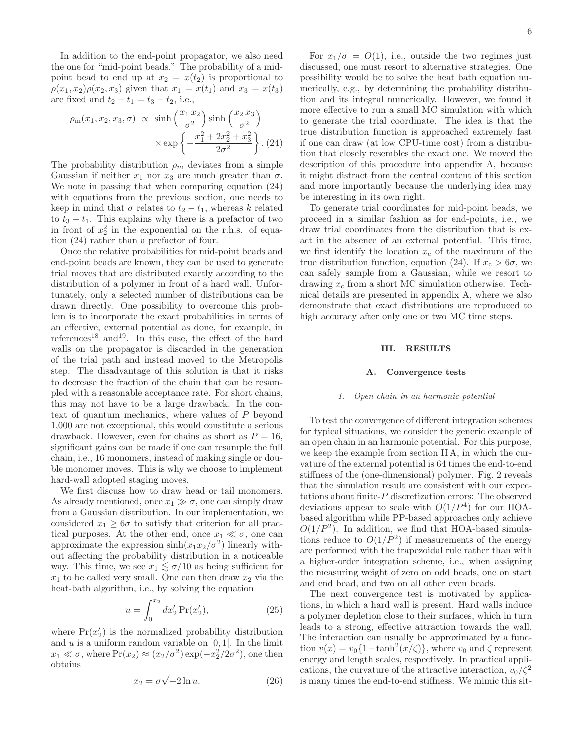In addition to the end-point propagator, we also need the one for "mid-point beads." The probability of a midpoint bead to end up at  $x_2 = x(t_2)$  is proportional to  $\rho(x_1, x_2)\rho(x_2, x_3)$  given that  $x_1 = x(t_1)$  and  $x_3 = x(t_3)$ are fixed and  $t_2 - t_1 = t_3 - t_2$ , i.e.,

$$
\rho_{\rm m}(x_1, x_2, x_3, \sigma) \propto \sinh\left(\frac{x_1 x_2}{\sigma^2}\right) \sinh\left(\frac{x_2 x_3}{\sigma^2}\right) \times \exp\left\{-\frac{x_1^2 + 2x_2^2 + x_3^2}{2\sigma^2}\right\}.
$$
 (24)

The probability distribution  $\rho_m$  deviates from a simple Gaussian if neither  $x_1$  nor  $x_3$  are much greater than  $\sigma$ . We note in passing that when comparing equation (24) with equations from the previous section, one needs to keep in mind that  $\sigma$  relates to  $t_2 - t_1$ , whereas k related to  $t_3 - t_1$ . This explains why there is a prefactor of two in front of  $x_2^2$  in the exponential on the r.h.s. of equation (24) rather than a prefactor of four.

Once the relative probabilities for mid-point beads and end-point beads are known, they can be used to generate trial moves that are distributed exactly according to the distribution of a polymer in front of a hard wall. Unfortunately, only a selected number of distributions can be drawn directly. One possibility to overcome this problem is to incorporate the exact probabilities in terms of an effective, external potential as done, for example, in references<sup>18</sup> and<sup>19</sup>. In this case, the effect of the hard walls on the propagator is discarded in the generation of the trial path and instead moved to the Metropolis step. The disadvantage of this solution is that it risks to decrease the fraction of the chain that can be resampled with a reasonable acceptance rate. For short chains, this may not have to be a large drawback. In the context of quantum mechanics, where values of P beyond 1,000 are not exceptional, this would constitute a serious drawback. However, even for chains as short as  $P = 16$ , significant gains can be made if one can resample the full chain, i.e., 16 monomers, instead of making single or double monomer moves. This is why we choose to implement hard-wall adopted staging moves.

We first discuss how to draw head or tail monomers. As already mentioned, once  $x_1 \gg \sigma$ , one can simply draw from a Gaussian distribution. In our implementation, we considered  $x_1 \geq 6\sigma$  to satisfy that criterion for all practical purposes. At the other end, once  $x_1 \ll \sigma$ , one can approximate the expression  $\sinh(x_1x_2/\sigma^2)$  linearly without affecting the probability distribution in a noticeable way. This time, we see  $x_1 \lesssim \sigma/10$  as being sufficient for  $x_1$  to be called very small. One can then draw  $x_2$  via the heat-bath algorithm, i.e., by solving the equation

$$
u = \int_0^{x_2} dx'_2 \Pr(x'_2),\tag{25}
$$

where  $Pr(x_2)$  is the normalized probability distribution and  $u$  is a uniform random variable on  $[0, 1]$ . In the limit  $x_1 \ll \sigma$ , where  $Pr(x_2) \approx (x_2/\sigma^2) \exp(-x_2^2/2\sigma^2)$ , one then obtains

$$
x_2 = \sigma \sqrt{-2 \ln u}.\tag{26}
$$

6

For  $x_1/\sigma = O(1)$ , i.e., outside the two regimes just discussed, one must resort to alternative strategies. One possibility would be to solve the heat bath equation numerically, e.g., by determining the probability distribution and its integral numerically. However, we found it more effective to run a small MC simulation with which to generate the trial coordinate. The idea is that the true distribution function is approached extremely fast if one can draw (at low CPU-time cost) from a distribution that closely resembles the exact one. We moved the description of this procedure into appendix A, because it might distract from the central content of this section and more importantly because the underlying idea may be interesting in its own right.

To generate trial coordinates for mid-point beads, we proceed in a similar fashion as for end-points, i.e., we draw trial coordinates from the distribution that is exact in the absence of an external potential. This time, we first identify the location  $x_c$  of the maximum of the true distribution function, equation (24). If  $x_c > 6\sigma$ , we can safely sample from a Gaussian, while we resort to drawing  $x_c$  from a short MC simulation otherwise. Technical details are presented in appendix A, where we also demonstrate that exact distributions are reproduced to high accuracy after only one or two MC time steps.

## III. RESULTS

#### A. Convergence tests

#### 1. Open chain in an harmonic potential

To test the convergence of different integration schemes for typical situations, we consider the generic example of an open chain in an harmonic potential. For this purpose, we keep the example from section II A, in which the curvature of the external potential is 64 times the end-to-end stiffness of the (one-dimensional) polymer. Fig. 2 reveals that the simulation result are consistent with our expectations about finite-P discretization errors: The observed deviations appear to scale with  $O(1/P<sup>4</sup>)$  for our HOAbased algorithm while PP-based approaches only achieve  $O(1/P^2)$ . In addition, we find that HOA-based simulations reduce to  $O(1/P^2)$  if measurements of the energy are performed with the trapezoidal rule rather than with a higher-order integration scheme, i.e., when assigning the measuring weight of zero on odd beads, one on start and end bead, and two on all other even beads.

The next convergence test is motivated by applications, in which a hard wall is present. Hard walls induce a polymer depletion close to their surfaces, which in turn leads to a strong, effective attraction towards the wall. The interaction can usually be approximated by a function  $v(x) = v_0\{1-\tanh^2(x/\zeta)\}\,$ , where  $v_0$  and  $\zeta$  represent energy and length scales, respectively. In practical applications, the curvature of the attractive interaction,  $v_0/\zeta^2$ is many times the end-to-end stiffness. We mimic this sit-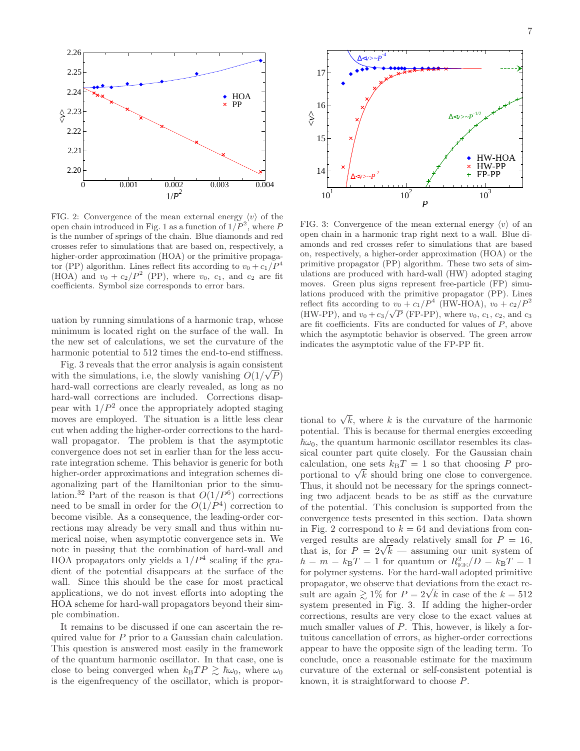

FIG. 2: Convergence of the mean external energy  $\langle v \rangle$  of the open chain introduced in Fig. 1 as a function of  $1/P^2$ , where P is the number of springs of the chain. Blue diamonds and red crosses refer to simulations that are based on, respectively, a higher-order approximation (HOA) or the primitive propagator (PP) algorithm. Lines reflect fits according to  $v_0 + c_1/P^4$ (HOA) and  $v_0 + c_2/P^2$  (PP), where  $v_0$ ,  $c_1$ , and  $c_2$  are fit coefficients. Symbol size corresponds to error bars.

uation by running simulations of a harmonic trap, whose minimum is located right on the surface of the wall. In the new set of calculations, we set the curvature of the harmonic potential to 512 times the end-to-end stiffness.

Fig. 3 reveals that the error analysis is again consistent with the simulations, i.e, the slowly vanishing  $O(1/\sqrt{P})$ hard-wall corrections are clearly revealed, as long as no hard-wall corrections are included. Corrections disappear with  $1/P^2$  once the appropriately adopted staging moves are employed. The situation is a little less clear cut when adding the higher-order corrections to the hardwall propagator. The problem is that the asymptotic convergence does not set in earlier than for the less accurate integration scheme. This behavior is generic for both higher-order approximations and integration schemes diagonalizing part of the Hamiltonian prior to the simulation.<sup>32</sup> Part of the reason is that  $O(1/P^6)$  corrections need to be small in order for the  $O(1/P^4)$  correction to become visible. As a consequence, the leading-order corrections may already be very small and thus within numerical noise, when asymptotic convergence sets in. We note in passing that the combination of hard-wall and HOA propagators only yields a  $1/P<sup>4</sup>$  scaling if the gradient of the potential disappears at the surface of the wall. Since this should be the case for most practical applications, we do not invest efforts into adopting the HOA scheme for hard-wall propagators beyond their simple combination.

It remains to be discussed if one can ascertain the required value for P prior to a Gaussian chain calculation. This question is answered most easily in the framework of the quantum harmonic oscillator. In that case, one is close to being converged when  $k_BT P \gtrsim \hbar\omega_0$ , where  $\omega_0$ is the eigenfrequency of the oscillator, which is propor-



FIG. 3: Convergence of the mean external energy  $\langle v \rangle$  of an open chain in a harmonic trap right next to a wall. Blue diamonds and red crosses refer to simulations that are based on, respectively, a higher-order approximation (HOA) or the primitive propagator (PP) algorithm. These two sets of simulations are produced with hard-wall (HW) adopted staging moves. Green plus signs represent free-particle (FP) simulations produced with the primitive propagator (PP). Lines reflect fits according to  $v_0 + c_1/P^4$  (HW-HOA),  $v_0 + c_2/P^2$ (HW-PP), and  $v_0 + c_3/\sqrt{P}$  (FP-PP), where  $v_0$ ,  $c_1$ ,  $c_2$ , and  $c_3$ are fit coefficients. Fits are conducted for values of P, above which the asymptotic behavior is observed. The green arrow indicates the asymptotic value of the FP-PP fit.

tional to  $\sqrt{k}$ , where k is the curvature of the harmonic potential. This is because for thermal energies exceeding  $\hbar\omega_0$ , the quantum harmonic oscillator resembles its classical counter part quite closely. For the Gaussian chain calculation, one sets  $k_BT = 1$  so that choosing P proportional to  $\sqrt{k}$  should bring one close to convergence. Thus, it should not be necessary for the springs connecting two adjacent beads to be as stiff as the curvature of the potential. This conclusion is supported from the convergence tests presented in this section. Data shown in Fig. 2 correspond to  $k = 64$  and deviations from converged results are already relatively small for  $P = 16$ , that is, for  $P = 2\sqrt{k}$  — assuming our unit system of  $\hbar = m = k_{\text{B}}T = 1$  for quantum or  $R_{\text{EE}}^2/D = k_{\text{B}}T = 1$ for polymer systems. For the hard-wall adopted primitive propagator, we observe that deviations from the exact result are again  $\gtrsim 1\%$  for  $P = 2\sqrt{k}$  in case of the  $k = 512$ system presented in Fig. 3. If adding the higher-order corrections, results are very close to the exact values at much smaller values of P. This, however, is likely a fortuitous cancellation of errors, as higher-order corrections appear to have the opposite sign of the leading term. To conclude, once a reasonable estimate for the maximum curvature of the external or self-consistent potential is known, it is straightforward to choose P.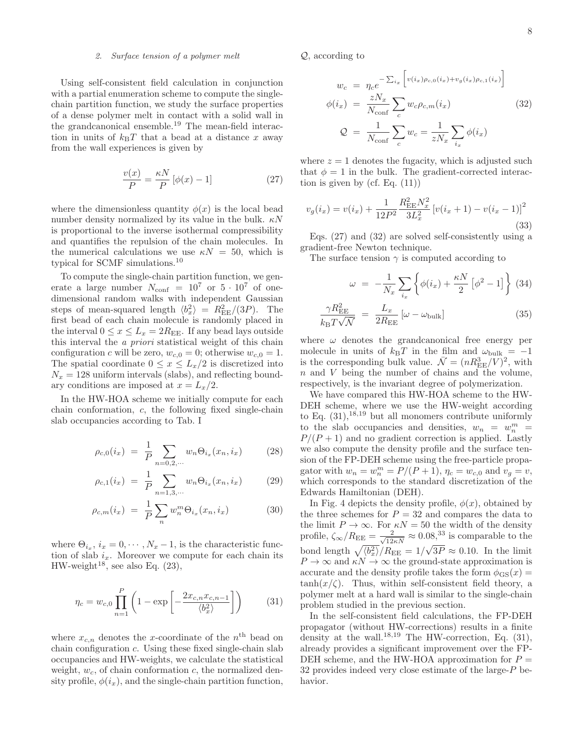# 2. Surface tension of a polymer melt

Using self-consistent field calculation in conjunction with a partial enumeration scheme to compute the singlechain partition function, we study the surface properties of a dense polymer melt in contact with a solid wall in the grandcanonical ensemble.<sup>19</sup> The mean-field interaction in units of  $k_BT$  that a bead at a distance x away from the wall experiences is given by

$$
\frac{v(x)}{P} = \frac{\kappa N}{P} \left[ \phi(x) - 1 \right] \tag{27}
$$

where the dimensionless quantity  $\phi(x)$  is the local bead number density normalized by its value in the bulk.  $\kappa N$ is proportional to the inverse isothermal compressibility and quantifies the repulsion of the chain molecules. In the numerical calculations we use  $\kappa N = 50$ , which is typical for SCMF simulations.<sup>10</sup>

To compute the single-chain partition function, we generate a large number  $N_{\text{conf}} = 10^7$  or  $5 \cdot 10^7$  of onedimensional random walks with independent Gaussian steps of mean-squared length  $\langle b_x^2 \rangle = R_{\text{EE}}^2/(3P)$ . The first bead of each chain molecule is randomly placed in the interval  $0 \le x \le L_x = 2R_{EE}$ . If any bead lays outside this interval the a priori statistical weight of this chain configuration c will be zero,  $w_{c,0} = 0$ ; otherwise  $w_{c,0} = 1$ . The spatial coordinate  $0 \leq x \leq L_x/2$  is discretized into  $N_x = 128$  uniform intervals (slabs), and reflecting boundary conditions are imposed at  $x = L_x/2$ .

In the HW-HOA scheme we initially compute for each chain conformation, c, the following fixed single-chain slab occupancies according to Tab. I

$$
\rho_{c,0}(i_x) = \frac{1}{P} \sum_{n=0,2,\cdots} w_n \Theta_{i_x}(x_n, i_x) \tag{28}
$$

$$
\rho_{c,1}(i_x) = \frac{1}{P} \sum_{n=1,3,\cdots} w_n \Theta_{i_x}(x_n, i_x) \tag{29}
$$

$$
\rho_{c,m}(i_x) = \frac{1}{P} \sum_n w_n^m \Theta_{i_x}(x_n, i_x) \tag{30}
$$

where  $\Theta_{i_x}, i_x = 0, \cdots, N_x - 1$ , is the characteristic function of slab  $i_x$ . Moreover we compute for each chain its HW-weight<sup>18</sup>, see also Eq.  $(23)$ ,

$$
\eta_c = w_{c,0} \prod_{n=1}^{P} \left( 1 - \exp\left[ -\frac{2x_{c,n} x_{c,n-1}}{\langle b_x^2 \rangle} \right] \right) \tag{31}
$$

where  $x_{c,n}$  denotes the x-coordinate of the  $n<sup>th</sup>$  bead on chain configuration c. Using these fixed single-chain slab occupancies and HW-weights, we calculate the statistical weight,  $w_c$ , of chain conformation c, the normalized density profile,  $\phi(i_x)$ , and the single-chain partition function, Q, according to

$$
w_c = \eta_c e^{-\sum_{i_x} \left[ v(i_x) \rho_{c,0}(i_x) + v_g(i_x) \rho_{c,1}(i_x) \right]}
$$

$$
\phi(i_x) = \frac{zN_x}{N_{\text{conf}}} \sum_c w_c \rho_{c,m}(i_x) \tag{32}
$$

$$
\mathcal{Q} = \frac{1}{N_{\text{conf}}} \sum_c w_c = \frac{1}{zN_x} \sum_{i_x} \phi(i_x)
$$

where  $z = 1$  denotes the fugacity, which is adjusted such that  $\phi = 1$  in the bulk. The gradient-corrected interaction is given by (cf. Eq.  $(11)$ )

$$
v_g(i_x) = v(i_x) + \frac{1}{12P^2} \frac{R_{\text{EE}}^2 N_x^2}{3L_x^2} \left[ v(i_x + 1) - v(i_x - 1) \right]^2
$$
\n(33)

Eqs. (27) and (32) are solved self-consistently using a gradient-free Newton technique.

The surface tension  $\gamma$  is computed according to

$$
\omega = -\frac{1}{N_x} \sum_{i_x} \left\{ \phi(i_x) + \frac{\kappa N}{2} \left[ \phi^2 - 1 \right] \right\} (34)
$$

$$
\frac{\gamma R_{\rm EE}^2}{k_{\rm B} T \sqrt{\mathcal{N}}} = \frac{L_x}{2R_{\rm EE}} \left[ \omega - \omega_{\rm bulk} \right] \tag{35}
$$

where  $\omega$  denotes the grandcanonical free energy per molecule in units of  $k_BT$  in the film and  $\omega_{\text{bulk}} = -1$ is the corresponding bulk value.  $\overline{\mathcal{N}} = (nR_{\text{EE}}^3/V)^2$ , with n and V being the number of chains and the volume, respectively, is the invariant degree of polymerization.

We have compared this HW-HOA scheme to the HW-DEH scheme, where we use the HW-weight according to Eq.  $(31)$ , <sup>18, 19</sup> but all monomers contribute uniformly to the slab occupancies and densities,  $w_n = w_n^m$  $P/(P+1)$  and no gradient correction is applied. Lastly we also compute the density profile and the surface tension of the FP-DEH scheme using the free-particle propagator with  $w_n = w_n^m = P/(P + 1)$ ,  $\eta_c = w_{c,0}$  and  $v_g = v$ , which corresponds to the standard discretization of the Edwards Hamiltonian (DEH).

In Fig. 4 depicts the density profile,  $\phi(x)$ , obtained by the three schemes for  $P = 32$  and compares the data to the limit  $P \to \infty$ . For  $\kappa N = 50$  the width of the density profile,  $\zeta_{\infty}/R_{\text{EE}} = \frac{2}{\sqrt{12\kappa N}} \approx 0.08$ <sup>33</sup> is comparable to the bond length  $\sqrt{\langle b_x^2 \rangle / R_{\text{EE}}} = 1/\sqrt{3P} \approx 0.10$ . In the limit  $P \to \infty$  and  $\kappa N \to \infty$  the ground-state approximation is accurate and the density profile takes the form  $\phi_{\text{GS}}(x) =$  $tanh(x/\zeta)$ . Thus, within self-consistent field theory, a polymer melt at a hard wall is similar to the single-chain problem studied in the previous section.

In the self-consistent field calculations, the FP-DEH propagator (without HW-corrections) results in a finite density at the wall.<sup>18,19</sup> The HW-correction, Eq.  $(31)$ , already provides a significant improvement over the FP-DEH scheme, and the HW-HOA approximation for  $P =$ 32 provides indeed very close estimate of the large-P behavior.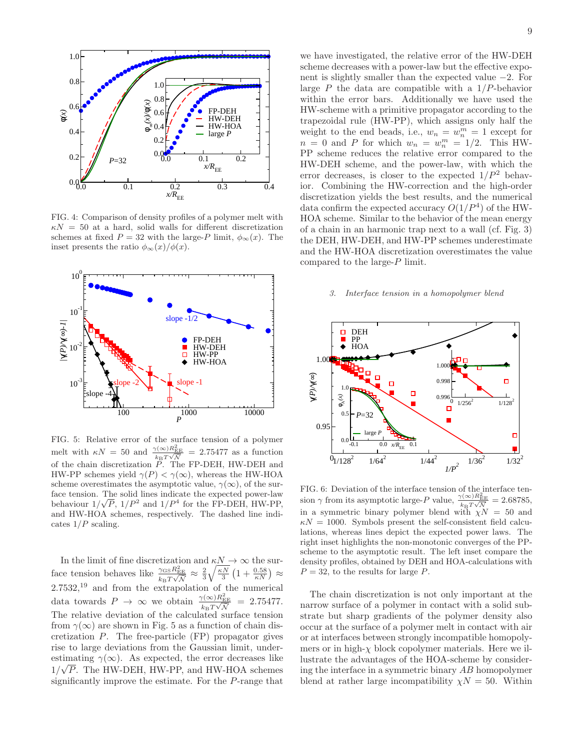

FIG. 4: Comparison of density profiles of a polymer melt with  $\kappa N = 50$  at a hard, solid walls for different discretization schemes at fixed  $P = 32$  with the large-P limit,  $\phi_{\infty}(x)$ . The inset presents the ratio  $\phi_{\infty}(x)/\phi(x)$ .



FIG. 5: Relative error of the surface tension of a polymer melt with  $\kappa N = 50$  and  $\frac{\gamma(\infty)R_{\rm EE}^2}{k_{\rm B}T\sqrt{N}} = 2.75477$  as a function of the chain discretization P. The FP-DEH, HW-DEH and HW-PP schemes yield  $\gamma(P) < \gamma(\infty)$ , whereas the HW-HOA scheme overestimates the asymptotic value,  $\gamma(\infty)$ , of the surface tension. The solid lines indicate the expected power-law behaviour  $1/\sqrt{P}$ ,  $1/P^2$  and  $1/P^4$  for the FP-DEH, HW-PP, and HW-HOA schemes, respectively. The dashed line indicates  $1/P$  scaling.

In the limit of fine discretization and  $\kappa N \to \infty$  the surface tension behaves like  $\frac{\gamma_{\text{GS}} R_{\text{EE}}^2}{k_{\text{B}} T \sqrt{N}} \approx \frac{2}{3} \sqrt{\frac{\kappa N}{3}} \left(1 + \frac{0.58}{\kappa N}\right) \approx$  $2.7532<sup>19</sup>$  and from the extrapolation of the numerical data towards  $P \to \infty$  we obtain  $\frac{\gamma(\infty)R_{\text{EE}}^2}{k_B T \sqrt{\mathcal{N}}} = 2.75477.$ The relative deviation of the calculated surface tension from  $\gamma(\infty)$  are shown in Fig. 5 as a function of chain discretization P. The free-particle (FP) propagator gives rise to large deviations from the Gaussian limit, underestimating  $\gamma(\infty)$ . As expected, the error decreases like  $1/\sqrt{P}$ . The HW-DEH, HW-PP, and HW-HOA schemes significantly improve the estimate. For the P-range that

we have investigated, the relative error of the HW-DEH scheme decreases with a power-law but the effective exponent is slightly smaller than the expected value −2. For large  $P$  the data are compatible with a  $1/P$ -behavior within the error bars. Additionally we have used the HW-scheme with a primitive propagator according to the trapezoidal rule (HW-PP), which assigns only half the weight to the end beads, i.e.,  $w_n = w_n^m = 1$  except for  $n = 0$  and P for which  $w_n = w_n^m = 1/2$ . This HW-PP scheme reduces the relative error compared to the HW-DEH scheme, and the power-law, with which the error decreases, is closer to the expected  $1/P^2$  behavior. Combining the HW-correction and the high-order discretization yields the best results, and the numerical data confirm the expected accuracy  $O(1/P^4)$  of the HW-HOA scheme. Similar to the behavior of the mean energy of a chain in an harmonic trap next to a wall (cf. Fig. 3) the DEH, HW-DEH, and HW-PP schemes underestimate and the HW-HOA discretization overestimates the value compared to the large-P limit.

## 3. Interface tension in a homopolymer blend



FIG. 6: Deviation of the interface tension of the interface tension  $\gamma$  from its asymptotic large-P value,  $\frac{\gamma(\infty)R_{\rm EE}^2}{\gamma(\sqrt{\gamma})R_{\rm EE}^2}$  $k_{\mathrm{B}}T\sqrt{\bar{N}}$  $= 2.68785$ in a symmetric binary polymer blend with  $\chi N = 50$  and  $\kappa N = 1000$ . Symbols present the self-consistent field calculations, whereas lines depict the expected power laws. The right inset highlights the non-monotonic converges of the PPscheme to the asymptotic result. The left inset compare the density profiles, obtained by DEH and HOA-calculations with  $P = 32$ , to the results for large P.

The chain discretization is not only important at the narrow surface of a polymer in contact with a solid substrate but sharp gradients of the polymer density also occur at the surface of a polymer melt in contact with air or at interfaces between strongly incompatible homopolymers or in high- $\chi$  block copolymer materials. Here we illustrate the advantages of the HOA-scheme by considering the interface in a symmetric binary AB homopolymer blend at rather large incompatibility  $\chi N = 50$ . Within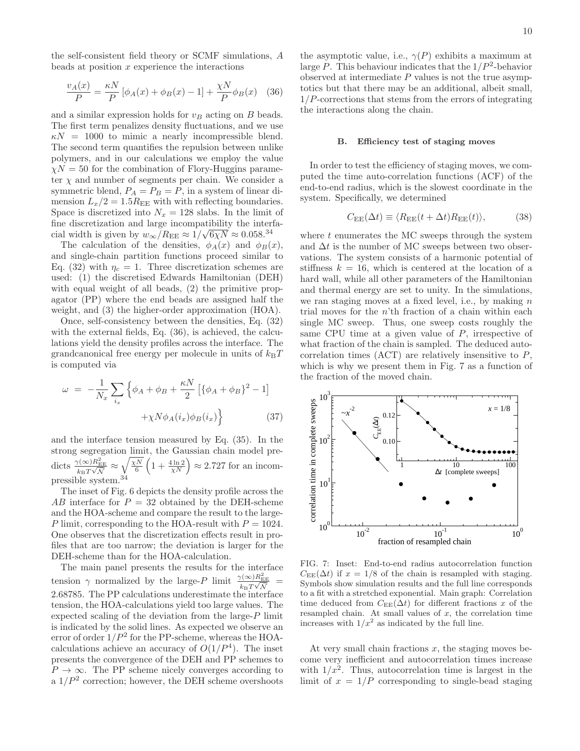the self-consistent field theory or SCMF simulations, A beads at position  $x$  experience the interactions

$$
\frac{v_A(x)}{P} = \frac{\kappa N}{P} \left[ \phi_A(x) + \phi_B(x) - 1 \right] + \frac{\chi N}{P} \phi_B(x) \quad (36)
$$

and a similar expression holds for  $v_B$  acting on B beads. The first term penalizes density fluctuations, and we use  $\kappa N = 1000$  to mimic a nearly incompressible blend. The second term quantifies the repulsion between unlike polymers, and in our calculations we employ the value  $\chi N = 50$  for the combination of Flory-Huggins parameter  $\chi$  and number of segments per chain. We consider a symmetric blend,  $P_A = P_B = P$ , in a system of linear dimension  $L_x/2 = 1.5R_{EE}$  with with reflecting boundaries. Space is discretized into  $N_x = 128$  slabs. In the limit of fine discretization and large incompatibility the interfacial width is given by  $w_{\infty}/R_{\text{EE}} \approx 1/\sqrt{6\chi N} \approx 0.058^{34}$ 

The calculation of the densities,  $\phi_A(x)$  and  $\phi_B(x)$ , and single-chain partition functions proceed similar to Eq. (32) with  $\eta_c = 1$ . Three discretization schemes are used: (1) the discretised Edwards Hamiltonian (DEH) with equal weight of all beads,  $(2)$  the primitive propagator (PP) where the end beads are assigned half the weight, and (3) the higher-order approximation (HOA).

Once, self-consistency between the densities, Eq. (32) with the external fields, Eq. (36), is achieved, the calculations yield the density profiles across the interface. The grandcanonical free energy per molecule in units of  $k_BT$ is computed via

$$
\omega = -\frac{1}{N_x} \sum_{i_x} \left\{ \phi_A + \phi_B + \frac{\kappa N}{2} \left[ \{\phi_A + \phi_B\}^2 - 1 \right] + \chi N \phi_A(i_x) \phi_B(i_x) \right\} \tag{37}
$$

and the interface tension measured by Eq. (35). In the strong segregation limit, the Gaussian chain model predicts  $\frac{\gamma(\infty)R_{\rm EE}^2}{k_{\rm B}T\sqrt{N}} \approx \sqrt{\frac{\chi N}{6}}\left(1+\frac{4\ln 2}{\chi N}\right) \approx 2.727$  for an incompressible system.<sup>34</sup>

The inset of Fig. 6 depicts the density profile across the AB interface for  $P = 32$  obtained by the DEH-scheme and the HOA-scheme and compare the result to the large-P limit, corresponding to the HOA-result with  $P = 1024$ . One observes that the discretization effects result in profiles that are too narrow; the deviation is larger for the DEH-scheme than for the HOA-calculation.

The main panel presents the results for the interface tension  $\gamma$  normalized by the large-P limit  $\frac{\gamma(\infty)R_{\text{EB}}^2}{k_B T \sqrt{N}}$ 2.68785. The PP calculations underestimate the interface tension, the HOA-calculations yield too large values. The expected scaling of the deviation from the large- $P$  limit is indicated by the solid lines. As expected we observe an error of order  $1/P^2$  for the PP-scheme, whereas the HOAcalculations achieve an accuracy of  $O(1/P<sup>4</sup>)$ . The inset presents the convergence of the DEH and PP schemes to  $P \to \infty$ . The PP scheme nicely converges according to a  $1/P^2$  correction; however, the DEH scheme overshoots

the asymptotic value, i.e.,  $\gamma(P)$  exhibits a maximum at large P. This behaviour indicates that the  $1/P^2$ -behavior observed at intermediate  $P$  values is not the true asymptotics but that there may be an additional, albeit small,  $1/P$ -corrections that stems from the errors of integrating the interactions along the chain.

## B. Efficiency test of staging moves

In order to test the efficiency of staging moves, we computed the time auto-correlation functions (ACF) of the end-to-end radius, which is the slowest coordinate in the system. Specifically, we determined

$$
C_{\rm EE}(\Delta t) \equiv \langle R_{\rm EE}(t + \Delta t) R_{\rm EE}(t) \rangle, \tag{38}
$$

where  $t$  enumerates the MC sweeps through the system and  $\Delta t$  is the number of MC sweeps between two observations. The system consists of a harmonic potential of stiffness  $k = 16$ , which is centered at the location of a hard wall, while all other parameters of the Hamiltonian and thermal energy are set to unity. In the simulations, we ran staging moves at a fixed level, i.e., by making  $n$ trial moves for the  $n<sup>th</sup>$  fraction of a chain within each single MC sweep. Thus, one sweep costs roughly the same CPU time at a given value of  $P$ , irrespective of what fraction of the chain is sampled. The deduced autocorrelation times  $(ACT)$  are relatively insensitive to  $P$ , which is why we present them in Fig. 7 as a function of the fraction of the moved chain.



FIG. 7: Inset: End-to-end radius autocorrelation function  $C_{\text{EE}}(\Delta t)$  if  $x = 1/8$  of the chain is resampled with staging. Symbols show simulation results and the full line corresponds to a fit with a stretched exponential. Main graph: Correlation time deduced from  $C_{\text{EE}}(\Delta t)$  for different fractions x of the resampled chain. At small values of  $x$ , the correlation time increases with  $1/x^2$  as indicated by the full line.

At very small chain fractions  $x$ , the staging moves become very inefficient and autocorrelation times increase with  $1/x^2$ . Thus, autocorrelation time is largest in the limit of  $x = 1/P$  corresponding to single-bead staging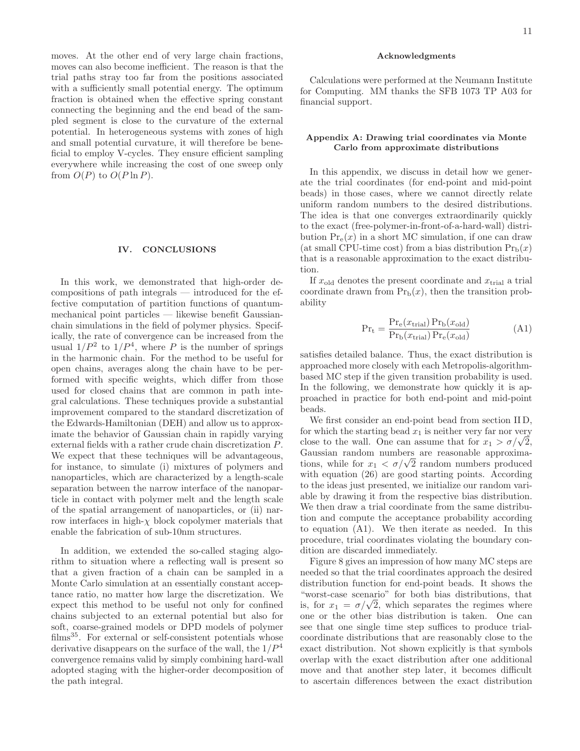moves. At the other end of very large chain fractions, moves can also become inefficient. The reason is that the trial paths stray too far from the positions associated with a sufficiently small potential energy. The optimum fraction is obtained when the effective spring constant connecting the beginning and the end bead of the sampled segment is close to the curvature of the external potential. In heterogeneous systems with zones of high and small potential curvature, it will therefore be beneficial to employ V-cycles. They ensure efficient sampling everywhere while increasing the cost of one sweep only from  $O(P)$  to  $O(P \ln P)$ .

#### IV. CONCLUSIONS

In this work, we demonstrated that high-order decompositions of path integrals — introduced for the effective computation of partition functions of quantummechanical point particles — likewise benefit Gaussianchain simulations in the field of polymer physics. Specifically, the rate of convergence can be increased from the usual  $1/P^2$  to  $1/P^4$ , where P is the number of springs in the harmonic chain. For the method to be useful for open chains, averages along the chain have to be performed with specific weights, which differ from those used for closed chains that are common in path integral calculations. These techniques provide a substantial improvement compared to the standard discretization of the Edwards-Hamiltonian (DEH) and allow us to approximate the behavior of Gaussian chain in rapidly varying external fields with a rather crude chain discretization P. We expect that these techniques will be advantageous, for instance, to simulate (i) mixtures of polymers and nanoparticles, which are characterized by a length-scale separation between the narrow interface of the nanoparticle in contact with polymer melt and the length scale of the spatial arrangement of nanoparticles, or (ii) narrow interfaces in high- $\chi$  block copolymer materials that enable the fabrication of sub-10nm structures.

In addition, we extended the so-called staging algorithm to situation where a reflecting wall is present so that a given fraction of a chain can be sampled in a Monte Carlo simulation at an essentially constant acceptance ratio, no matter how large the discretization. We expect this method to be useful not only for confined chains subjected to an external potential but also for soft, coarse-grained models or DPD models of polymer  $films<sup>35</sup>$ . For external or self-consistent potentials whose derivative disappears on the surface of the wall, the  $1/P<sup>4</sup>$ convergence remains valid by simply combining hard-wall adopted staging with the higher-order decomposition of the path integral.

## Acknowledgments

Calculations were performed at the Neumann Institute for Computing. MM thanks the SFB 1073 TP A03 for financial support.

# Appendix A: Drawing trial coordinates via Monte Carlo from approximate distributions

In this appendix, we discuss in detail how we generate the trial coordinates (for end-point and mid-point beads) in those cases, where we cannot directly relate uniform random numbers to the desired distributions. The idea is that one converges extraordinarily quickly to the exact (free-polymer-in-front-of-a-hard-wall) distribution  $Pr_e(x)$  in a short MC simulation, if one can draw (at small CPU-time cost) from a bias distribution  $Pr<sub>b</sub>(x)$ that is a reasonable approximation to the exact distribution.

If  $x_{old}$  denotes the present coordinate and  $x_{trial}$  a trial coordinate drawn from  $Pr<sub>b</sub>(x)$ , then the transition probability

$$
Pr_{t} = \frac{Pr_{e}(x_{trial}) Pr_{b}(x_{old})}{Pr_{b}(x_{trial}) Pr_{e}(x_{old})}
$$
(A1)

satisfies detailed balance. Thus, the exact distribution is approached more closely with each Metropolis-algorithmbased MC step if the given transition probability is used. In the following, we demonstrate how quickly it is approached in practice for both end-point and mid-point beads.

We first consider an end-point bead from section II D, for which the starting bead  $x_1$  is neither very far nor very close to the wall. One can assume that for  $x_1 > \sigma/\sqrt{2}$ , Gaussian random numbers are reasonable approximations, while for  $x_1 < \sigma/\sqrt{2}$  random numbers produced with equation (26) are good starting points. According to the ideas just presented, we initialize our random variable by drawing it from the respective bias distribution. We then draw a trial coordinate from the same distribution and compute the acceptance probability according to equation (A1). We then iterate as needed. In this procedure, trial coordinates violating the boundary condition are discarded immediately.

Figure 8 gives an impression of how many MC steps are needed so that the trial coordinates approach the desired distribution function for end-point beads. It shows the "worst-case scenario" for both bias distributions, that which case seems to for both bias distributions, that<br>is, for  $x_1 = \sigma/\sqrt{2}$ , which separates the regimes where one or the other bias distribution is taken. One can see that one single time step suffices to produce trialcoordinate distributions that are reasonably close to the exact distribution. Not shown explicitly is that symbols overlap with the exact distribution after one additional move and that another step later, it becomes difficult to ascertain differences between the exact distribution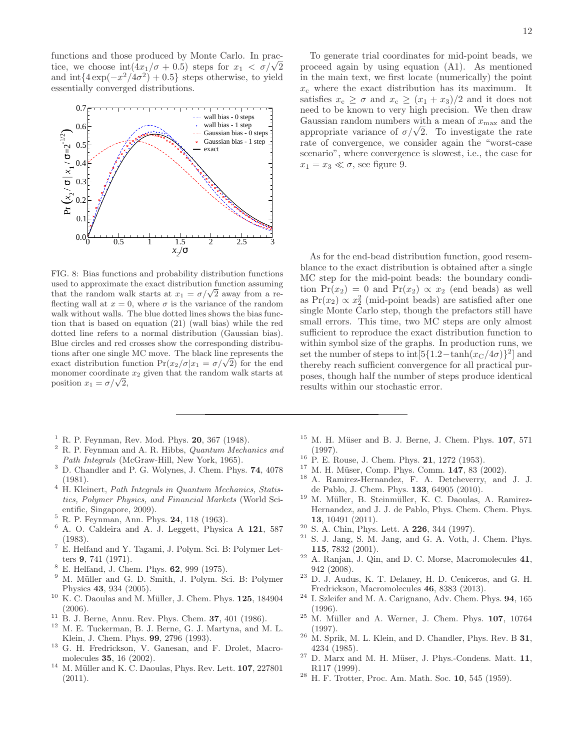functions and those produced by Monte Carlo. In practice, we choose  $int(4x_1/\sigma + 0.5)$  steps for  $x_1 < \sigma/\sqrt{2}$ and  $\inf\{4\exp(-x^2/4\sigma^2)+0.5\}$  steps otherwise, to yield essentially converged distributions.



FIG. 8: Bias functions and probability distribution functions used to approximate the exact distribution function assuming that the random walk starts at  $x_1 = \sigma/\sqrt{2}$  away from a reflecting wall at  $x = 0$ , where  $\sigma$  is the variance of the random walk without walls. The blue dotted lines shows the bias function that is based on equation (21) (wall bias) while the red dotted line refers to a normal distribution (Gaussian bias). Blue circles and red crosses show the corresponding distributions after one single MC move. The black line represents the exact distribution function  $Pr(x_2/\sigma|x_1 = \sigma/\sqrt{2})$  for the end monomer coordinate  $x_2$  given that the random walk starts at position  $x_1 = \sigma/\sqrt{2}$ ,

- $1$  R. P. Feynman, Rev. Mod. Phys. 20, 367 (1948).
- $2$  R. P. Feynman and A. R. Hibbs, Quantum Mechanics and Path Integrals (McGraw-Hill, New York, 1965).
- <sup>3</sup> D. Chandler and P. G. Wolynes, J. Chem. Phys. 74, 4078 (1981).
- <sup>4</sup> H. Kleinert, *Path Integrals in Quantum Mechanics*, *Statis*tics, Polymer Physics, and Financial Markets (World Scientific, Singapore, 2009).
- <sup>5</sup> R. P. Feynman, Ann. Phys. 24, 118 (1963).
- <sup>6</sup> A. O. Caldeira and A. J. Leggett, Physica A 121, 587 (1983).
- <sup>7</sup> E. Helfand and Y. Tagami, J. Polym. Sci. B: Polymer Letters 9, 741 (1971).
- <sup>8</sup> E. Helfand, J. Chem. Phys. 62, 999 (1975).
- <sup>9</sup> M. Müller and G. D. Smith, J. Polym. Sci. B: Polymer Physics 43, 934 (2005).
- $10$  K. C. Daoulas and M. Müller, J. Chem. Phys. 125, 184904 (2006).
- $11\,$  B. J. Berne, Annu. Rev. Phys. Chem. 37, 401 (1986).
- <sup>12</sup> M. E. Tuckerman, B. J. Berne, G. J. Martyna, and M. L. Klein, J. Chem. Phys. 99, 2796 (1993).
- <sup>13</sup> G. H. Fredrickson, V. Ganesan, and F. Drolet, Macromolecules 35, 16 (2002).
- $^{14}\,$  M. Müller and K. C. Daoulas, Phys. Rev. Lett.  ${\bf 107},\,227801$ (2011).

To generate trial coordinates for mid-point beads, we proceed again by using equation (A1). As mentioned in the main text, we first locate (numerically) the point  $x_c$  where the exact distribution has its maximum. It satisfies  $x_c \geq \sigma$  and  $x_c \geq (x_1 + x_3)/2$  and it does not need to be known to very high precision. We then draw Gaussian random numbers with a mean of  $x_{\text{max}}$  and the  $\alpha$  appropriate variance of  $\sigma/\sqrt{2}$ . To investigate the rate rate of convergence, we consider again the "worst-case scenario", where convergence is slowest, i.e., the case for  $x_1 = x_3 \ll \sigma$ , see figure 9.

As for the end-bead distribution function, good resemblance to the exact distribution is obtained after a single MC step for the mid-point beads: the boundary condition  $Pr(x_2) = 0$  and  $Pr(x_2) \propto x_2$  (end beads) as well as  $Pr(x_2) \propto x_2^2$  (mid-point beads) are satisfied after one single Monte Carlo step, though the prefactors still have small errors. This time, two MC steps are only almost sufficient to reproduce the exact distribution function to within symbol size of the graphs. In production runs, we set the number of steps to  $\int [5(1.2-\tanh(x_C/4\sigma))^2]$  and thereby reach sufficient convergence for all practical purposes, though half the number of steps produce identical results within our stochastic error.

- $15$  M. H. Müser and B. J. Berne, J. Chem. Phys.  $107, 571$ (1997).
- <sup>16</sup> P. E. Rouse, J. Chem. Phys. **21**, 1272 (1953).
- $17$  M. H. Müser, Comp. Phys. Comm.  $147$ , 83 (2002).
- <sup>18</sup> A. Ramirez-Hernandez, F. A. Detcheverry, and J. J. de Pablo, J. Chem. Phys. 133, 64905 (2010).
- <sup>19</sup> M. Müller, B. Steinmüller, K. C. Daoulas, A. Ramirez-Hernandez, and J. J. de Pablo, Phys. Chem. Chem. Phys. 13, 10491 (2011).
- <sup>20</sup> S. A. Chin, Phys. Lett. A **226**, 344 (1997).
- S. J. Jang, S. M. Jang, and G. A. Voth, J. Chem. Phys. 115, 7832 (2001).
- $22$  A. Ranjan, J. Qin, and D. C. Morse, Macromolecules 41, 942 (2008).
- <sup>23</sup> D. J. Audus, K. T. Delaney, H. D. Ceniceros, and G. H. Fredrickson, Macromolecules 46, 8383 (2013).
- <sup>24</sup> I. Szleifer and M. A. Carignano, Adv. Chem. Phys. 94, 165 (1996).
- $25$  M. Müller and A. Werner, J. Chem. Phys. 107, 10764 (1997).
- $^{26}$  M. Sprik, M. L. Klein, and D. Chandler, Phys. Rev. B 31, 4234 (1985).
- $27$  D. Marx and M. H. Müser, J. Phys.-Condens. Matt. 11, R117 (1999).
- H. F. Trotter, Proc. Am. Math. Soc. 10, 545 (1959).